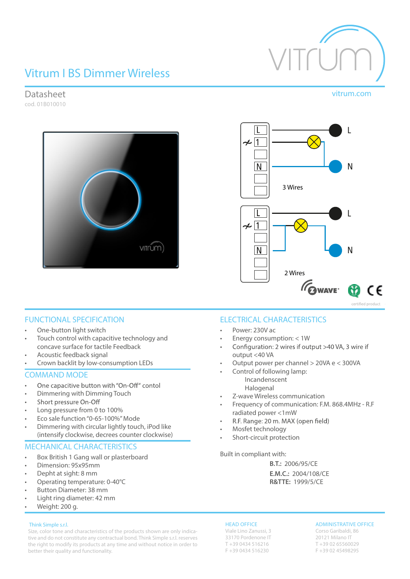# Vitrum I BS Dimmer Wireless

Datasheet vitrum.com cod. 01B010010



 $\mathsf{L}$  $\sim$  1  $\mathsf{N}$ N 3 Wires  $\sim$  1 <sup>N</sup> N 2 Wires **OWAVE** CE certified product

### FUNCTIONAL SPECIFICATION

- One-button light switch
- Touch control with capacitive technology and concave surface for tactile Feedback
- Acoustic feedback signal
- Crown backlit by low-consumption LEDs

### COMMAND MODE

- One capacitive button with "On-Off" contol •
- Dimmering with Dimming Touch
- Short pressure On-Off •
- Long pressure from 0 to 100%
- Eco sale function"0-65-100%"Mode
- Dimmering with circular lightly touch, iPod like (intensify clockwise, decrees counter clockwise)

### MECHANICAL CHARACTERISTICS

- Box British 1 Gang wall or plasterboard
- Dimension: 95x95mm
- Depht at sight: 8 mm
- Operating temperature: 0-40°C
- Button Diameter: 38 mm
- Light ring diameter: 42 mm

### • Weight: 200 g.

### Think Simple s.r.l.

Size, color tone and characteristics of the products shown are only indicative and do not constitute any contractual bond. Think Simple s.r.l. reserves the right to modify its products at any time and without notice in order to better their quality and functionality.

### ELECTRICAL CHARACTERISTICS

- Power: 230V ac
- Energy consumption: < 1W
- Configuration: 2 wires if output >40 VA, 3 wire if • output <40 VA
- Output power per channel > 20VA e < 300VA
	- Control of following lamp: Incandenscent Halogenal
- Z-wave Wireless communication
- Frequency of communication: F.M. 868.4MHz R.F radiated power <1mW
- R.F. Range: 20 m. MAX (open field) •
- Mosfet technology
- Short-circuit protection

Built in compliant with:

**B.T.:** 2006/95/CE **E.M.C.:** 2004/108/CE **R&TTE:** 1999/5/CE

### HEAD OFFICE

Viale Lino Zanussi, 3 33170 Pordenone IT T +39 0434 516216 F +39 0434 516230

### ADMINISTRATIVE OFFICE

Corso Garibaldi, 86 20121 Milano IT T +39 02 65560029 F +39 02 45498295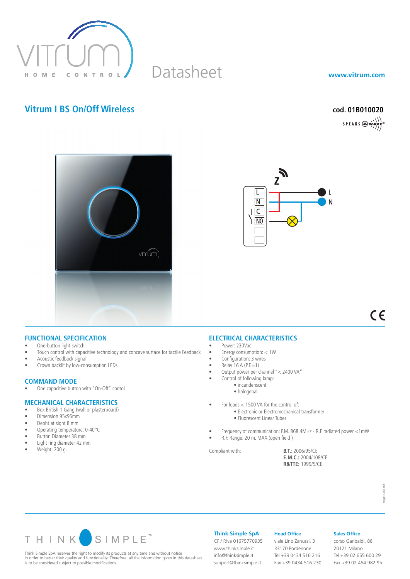

# Datasheet

**www.vitrum.com**

## **Vitrum I BS On/Off Wireless cod. 01B010020**

SPEAKS  $\bigotimes_{\mathbf{w}} \mathbf{w}$ 





 $C \in$ 

### **FUNCTIONAL SPECIFICATION**

- One-button light switch
- Touch control with capacitive technology and concave surface for tactile Feedback
- Acoustic feedback signal
- Crown backlit by low-consumption LEDs

## **COMMAND MODE**<br>• One capacitive butto

One capacitive button with "On-Off" contol

### **MECHANICAL CHARACTERISTICS**

- Box British 1 Gang (wall or plasterboard)
- • Dimension 95x95mm
- Depht at sight 8 mm
- Operating temperature: 0-40°C
- • Button Diameter 38 mm • Light ring diameter 42 mm
- 
- $\bullet$  Weight: 200 g.

### **ELECTRICAL CHARACTERISTICS**

- Power: 230Vac
- • Energy consumption: < 1W
- Configuration: 3 wires
- $Relay 16 A (P.F.=1)$
- • Output power per channel "< 2400 VA"
- Control of following lamp:
	- incandenscent
	- halogenal
- For loads < 1500 VA for the control of:
	- Electronic or Electromechanical transformer
		- Fluorescent Linear Tubes
- Frequency of communication: F.M. 868.4MHz R.F radiated power <1mW
- R.F. Range: 20 m. MAX (open field )

Compliant with: **B.T.**: 2006/95/CE **E.M.C.:** 2004/108/CE **R&TTE:** 1999/5/CE



Think Simple SpA reserves the right to modify its products at any time and without notice in order to better their quality and functionality. Therefore, all the information given in this datasheet is to be considered subject to possible modifications.

**Think Simple SpA**

info@thinksimple.it support@thinksimple.it

**Head Office** viale Lino Zanussi, 3 33170 Pordenone Tel +39 0434 516 216 CF / P.Iva 01675770935 www.thinksimple.it

Fax +39 0434 516 230

### **Sales Office**

corso Garibaldi, 86 20121 Milano Tel +39 02 655 600 29 Fax +39 02 454 982 95